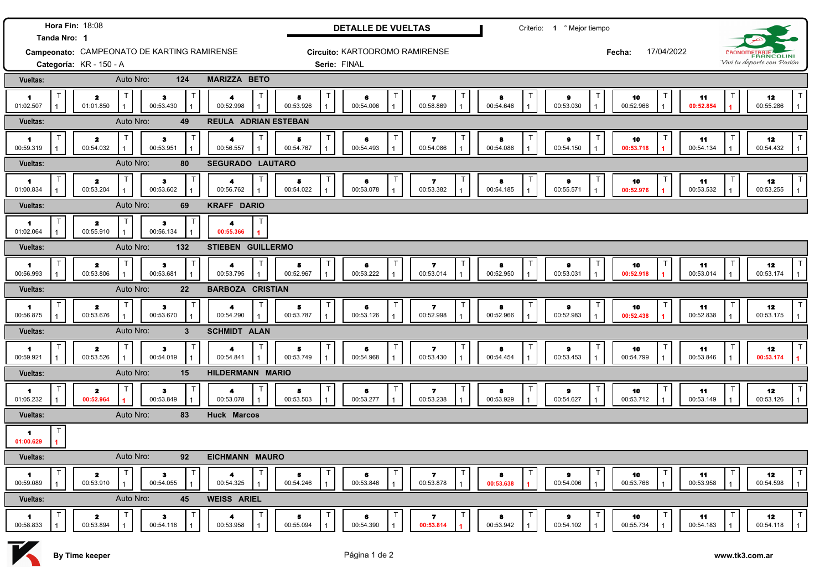| Hora Fin: 18:08                                             |                                     |                                        |                          | <b>DETALLE DE VUELTAS</b> |                                |                                      | Criterio: 1 º Mejor tiempo |                             |                                                   |                                 |                                                 |  |
|-------------------------------------------------------------|-------------------------------------|----------------------------------------|--------------------------|---------------------------|--------------------------------|--------------------------------------|----------------------------|-----------------------------|---------------------------------------------------|---------------------------------|-------------------------------------------------|--|
| Tanda Nro: 1<br>Campeonato: CAMPEONATO DE KARTING RAMIRENSE |                                     |                                        |                          |                           | Circuito: KARTODROMO RAMIRENSE |                                      |                            | 17/04/2022                  | CRONOMETRAJE                                      |                                 |                                                 |  |
| Categoría: KR - 150 - A                                     |                                     |                                        |                          | Serie: FINAL              |                                |                                      |                            |                             | Vivi tu deporte con Pasión                        |                                 |                                                 |  |
| <b>Vueltas:</b>                                             | Auto Nro:                           | 124                                    | <b>MARIZZA BETO</b>      |                           |                                |                                      |                            |                             |                                                   |                                 |                                                 |  |
| -1<br>01:02.507                                             | $\mathbf{z}$<br>01:01.850           | ा<br>з<br>00:53.430                    | 4<br>00:52.998           | 5<br>00:53.926            | 6<br>00:54.006                 | $\overline{ }$<br>00:58.869          | 8<br>00:54.646             | $\bullet$<br>00:53.030      | 10<br>00:52.966                                   | 11<br>00:52.854                 | $\mathsf{T}$<br>12<br>00:55.286<br>$\mathbf{1}$ |  |
| Auto Nro:<br>49<br>Vueltas:                                 |                                     | <b>REULA ADRIAN ESTEBAN</b>            |                          |                           |                                |                                      |                            |                             |                                                   |                                 |                                                 |  |
| $\blacksquare$<br>00:59.319                                 | $\mathbf{z}$<br>00:54.032           | $\mathsf{T}$<br>з<br>00:53.951         | 4<br>00:56.557           | 5<br>00:54.767            | 6<br>00:54.493                 | 7.<br>00:54.086                      | 8<br>00:54.086             | $\bullet$<br>00:54.150      | 10<br>00:53.718                                   | 11<br>00:54.134                 | $\mathsf{T}$<br>12<br>00:54.432                 |  |
| Vueltas:                                                    | Auto Nro:                           | 80                                     | SEGURADO LAUTARO         |                           |                                |                                      |                            |                             |                                                   |                                 |                                                 |  |
| $\mathbf{1}$<br>01:00.834                                   | $\mathbf{z}$<br>00:53.204           | ा<br>$\mathbf{3}$<br>00:53.602         | 4<br>00:56.762           | 5<br>00:54.022            | 6<br>00:53.078                 | 7.<br>00:53.382                      | 8<br>00:54.185             | 9<br>00:55.571              | 10<br>00:52.976                                   | 11<br>00:53.532                 | 12<br>00:53.255                                 |  |
| Vueltas:                                                    | Auto Nro:                           | 69                                     | <b>KRAFF DARIO</b>       |                           |                                |                                      |                            |                             |                                                   |                                 |                                                 |  |
| $\blacksquare$<br>01:02.064                                 | $\mathbf{z}$<br>00:55.910           | $\mathsf{T}$<br>з<br>00:56.134         | 4<br>00:55.366           |                           |                                |                                      |                            |                             |                                                   |                                 |                                                 |  |
| <b>Vueltas:</b>                                             | Auto Nro:                           | 132                                    | <b>STIEBEN GUILLERMO</b> |                           |                                |                                      |                            |                             |                                                   |                                 |                                                 |  |
| 1<br>00:56.993                                              | $\mathbf{z}$<br>00:53.806           | $\mathbf{I}$<br>$\bullet$<br>00:53.681 | 4<br>00:53.795           | 5<br>00:52.967            | 6<br>00:53.222                 | $\overline{\mathbf{r}}$<br>00:53.014 | 8<br>00:52.950             | $\bullet$<br>00:53.031      | 10<br>00:52.918                                   | 11<br>00:53.014                 | T<br>12<br>00:53.174                            |  |
| Vueltas:                                                    | Auto Nro:                           | 22                                     | <b>BARBOZA CRISTIAN</b>  |                           |                                |                                      |                            |                             |                                                   |                                 |                                                 |  |
| $\blacksquare$<br>00:56.875                                 | $\mathbf{z}$<br>00:53.676           | $\bullet$<br>00:53.670                 | 4<br>00:54.290           | 5<br>00:53.787            | 6<br>00:53.126                 | $\overline{\mathbf{r}}$<br>00:52.998 | 8<br>00:52.966             | $\bullet$<br>00:52.983      | 10<br>00:52.438                                   | 11<br>00:52.838                 | T<br>12<br>00:53.175<br>$\mathbf{1}$            |  |
| <b>Vueltas:</b>                                             | Auto Nro:<br>$3\phantom{a}$         |                                        |                          |                           |                                |                                      |                            |                             |                                                   |                                 |                                                 |  |
| $\blacksquare$<br>00:59.921                                 | $\mathbf{z}$<br>00:53.526           | - 1<br>з<br>00:54.019                  | 00:54.841                | 5<br>00:53.749            | 6<br>00:54.968                 | 7.<br>00:53.430                      | 8<br>00:54.454             | $\bullet$<br>00:53.453      | 10<br>00:54.799                                   | 11<br>00:53.846                 | T<br>12<br>00:53.174                            |  |
| Vueltas:                                                    | Auto Nro:<br>15<br>HILDERMANN MARIO |                                        |                          |                           |                                |                                      |                            |                             |                                                   |                                 |                                                 |  |
| $\blacktriangleleft$<br>01:05.232                           | $\mathbf{z}$<br>00:52.964           | $\bullet$<br>00:53.849                 | 4<br>00:53.078           | 5<br>00:53.503            | 6<br>00:53.277                 | $\overline{\mathbf{r}}$<br>00:53.238 | 8<br>00:53.929             | $\bullet$<br>00:54.627      | 10<br>00:53.712                                   | 11<br>00:53.149                 | T<br>12<br>00:53.126<br>$\mathbf{1}$            |  |
| Vueltas:                                                    | Auto Nro:                           | 83                                     | <b>Huck Marcos</b>       |                           |                                |                                      |                            |                             |                                                   |                                 |                                                 |  |
| $\mathbf{1}$<br>01:00.629                                   |                                     |                                        |                          |                           |                                |                                      |                            |                             |                                                   |                                 |                                                 |  |
| Vueltas:                                                    | Auto Nro:                           | 92                                     | <b>EICHMANN MAURO</b>    |                           |                                |                                      |                            |                             |                                                   |                                 |                                                 |  |
| T<br>$\blacksquare$<br>00:59.089                            | $\mathbf{z}$<br>00:53.910           | $\top$<br>з<br>00:54.055               | 4<br>00:54.325<br>1      | $\top$<br>5<br>00:54.246  | $\mathsf T$<br>6<br>00:53.846  | $\top$<br>7<br>00:53.878             | $\top$<br>8<br>00:53.638   | Т<br>$\bullet$<br>00:54.006 | $\mathsf{T}$<br>10<br>00:53.766<br>$\overline{1}$ | $\mathsf{T}$<br>11<br>00:53.958 | T<br>12<br>00:54.598<br>$\mathbf{1}$            |  |
| Vueltas:                                                    | Auto Nro:                           | 45                                     | <b>WEISS ARIEL</b>       |                           |                                |                                      |                            |                             |                                                   |                                 |                                                 |  |
| $\blacksquare$<br>00:58.833                                 | $\mathbf{z}$<br>00:53.894           | T<br>з<br>00:54.118                    | 4<br>00:53.958           | 5<br>00:55.094            | 6<br>00:54.390                 | 7<br>00:53.814                       | 8<br>00:53.942             | 9<br>00:54.102              | 10<br>00:55.734                                   | 11<br>00:54.183                 | $\mathsf{T}$<br>12<br>00:54.118<br>$\mathbf{1}$ |  |